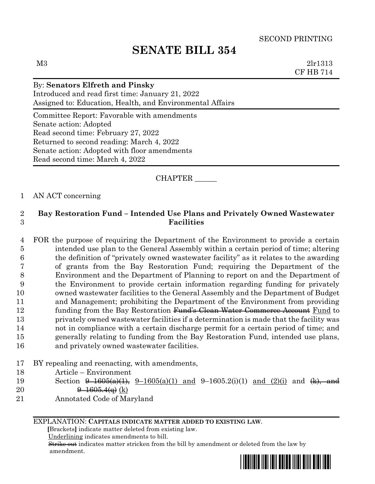# **SENATE BILL 354**

M3 2lr1313 CF HB 714

## By: **Senators Elfreth and Pinsky** Introduced and read first time: January 21, 2022 Assigned to: Education, Health, and Environmental Affairs Committee Report: Favorable with amendments Senate action: Adopted Read second time: February 27, 2022 Returned to second reading: March 4, 2022 Senate action: Adopted with floor amendments Read second time: March 4, 2022

## CHAPTER \_\_\_\_\_\_

### 1 AN ACT concerning

## 2 **Bay Restoration Fund – Intended Use Plans and Privately Owned Wastewater**  3 **Facilities**

- 4 FOR the purpose of requiring the Department of the Environment to provide a certain 5 intended use plan to the General Assembly within a certain period of time; altering 6 the definition of "privately owned wastewater facility" as it relates to the awarding 7 of grants from the Bay Restoration Fund; requiring the Department of the 8 Environment and the Department of Planning to report on and the Department of 9 the Environment to provide certain information regarding funding for privately 10 owned wastewater facilities to the General Assembly and the Department of Budget 11 and Management; prohibiting the Department of the Environment from providing 12 funding from the Bay Restoration Fund's Clean Water Commerce Account Fund to 13 privately owned wastewater facilities if a determination is made that the facility was 14 not in compliance with a certain discharge permit for a certain period of time; and 15 generally relating to funding from the Bay Restoration Fund, intended use plans, 16 and privately owned wastewater facilities.
- 17 BY repealing and reenacting, with amendments,
- 18 Article Environment
- 19 Section  $\frac{9-1605(a)(1)}{9}$ ,  $\frac{9-1605(a)(1)}{9}$  and  $\frac{9-1605(2)(1)}{1}$  and  $\frac{(2)(i)}{1}$  and  $\frac{(k)}{1}$ , and 20  $\theta = 1605.4(q)$  (k)
- 21 Annotated Code of Maryland

#### EXPLANATION: **CAPITALS INDICATE MATTER ADDED TO EXISTING LAW**.

 **[**Brackets**]** indicate matter deleted from existing law.

Underlining indicates amendments to bill.

 Strike out indicates matter stricken from the bill by amendment or deleted from the law by amendment.

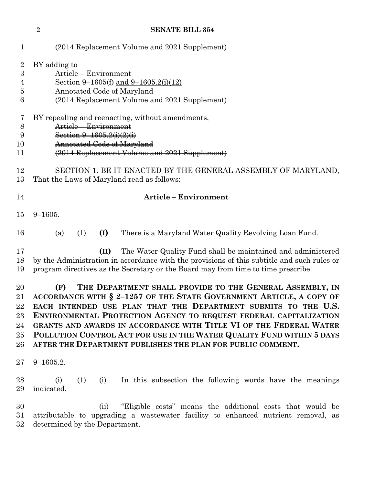|                  | $\overline{2}$<br><b>SENATE BILL 354</b>                                                                    |
|------------------|-------------------------------------------------------------------------------------------------------------|
| 1                | (2014 Replacement Volume and 2021 Supplement)                                                               |
| $\boldsymbol{2}$ | BY adding to                                                                                                |
| 3                | Article – Environment                                                                                       |
| 4                | Section 9–1605(f) and 9–1605.2(i)(12)                                                                       |
| 5                | Annotated Code of Maryland                                                                                  |
| 6                | (2014 Replacement Volume and 2021 Supplement)                                                               |
| 7                | BY repealing and reenacting, without amendments,                                                            |
| 8                | Article – Environment                                                                                       |
| 9                | Section $9 - 1605.2(i)(2)(i)$                                                                               |
| 10               | Annotated Code of Maryland                                                                                  |
| 11               | (2014 Replacement Volume and 2021 Supplement)                                                               |
| 12<br>13         | SECTION 1. BE IT ENACTED BY THE GENERAL ASSEMBLY OF MARYLAND,<br>That the Laws of Maryland read as follows: |
| 14               | <b>Article - Environment</b>                                                                                |
| 15               | $9 - 1605.$                                                                                                 |
| 16               | (I)<br>There is a Maryland Water Quality Revolving Loan Fund.<br>(a)<br>(1)                                 |
| 17               | The Water Quality Fund shall be maintained and administered<br>(II)                                         |
| 18               | by the Administration in accordance with the provisions of this subtitle and such rules or                  |
| 19               | program directives as the Secretary or the Board may from time to time prescribe.                           |
| 20               | THE DEPARTMENT SHALL PROVIDE TO THE GENERAL ASSEMBLY, IN<br>(F)                                             |
| $\rm 21$         | ACCORDANCE WITH § 2-1257 OF THE STATE GOVERNMENT ARTICLE, A COPY OF                                         |
| 22               | EACH INTENDED USE PLAN THAT THE DEPARTMENT SUBMITS TO THE U.S.                                              |
| 23               | ENVIRONMENTAL PROTECTION AGENCY TO REQUEST FEDERAL CAPITALIZATION                                           |
| 24               | GRANTS AND AWARDS IN ACCORDANCE WITH TITLE VI OF THE FEDERAL WATER                                          |
| 25               | POLLUTION CONTROL ACT FOR USE IN THE WATER QUALITY FUND WITHIN 5 DAYS                                       |
| 26               | AFTER THE DEPARTMENT PUBLISHES THE PLAN FOR PUBLIC COMMENT.                                                 |
| $27\,$           | $9 - 1605.2.$                                                                                               |
| 28               | In this subsection the following words have the meanings<br>(i)<br>(i)<br>(1)                               |
| 29               | indicated.                                                                                                  |
| 30               | "Eligible costs" means the additional costs that would be<br>(ii)                                           |
| $31\,$           | attributable to upgrading a wastewater facility to enhanced nutrient removal, as                            |
| $32\,$           | determined by the Department.                                                                               |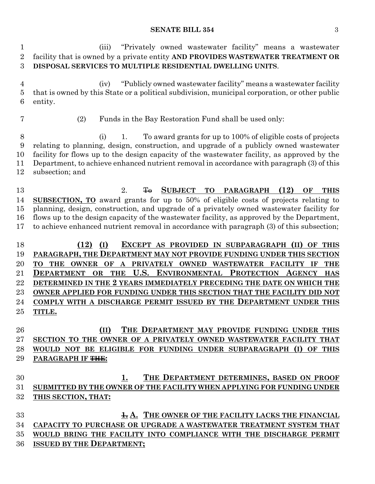#### **SENATE BILL 354** 3

 (iii) "Privately owned wastewater facility" means a wastewater facility that is owned by a private entity **AND PROVIDES WASTEWATER TREATMENT OR DISPOSAL SERVICES TO MULTIPLE RESIDENTIAL DWELLING UNITS**. (iv) "Publicly owned wastewater facility" means a wastewater facility that is owned by this State or a political subdivision, municipal corporation, or other public entity. (2) Funds in the Bay Restoration Fund shall be used only: (i) 1. To award grants for up to 100% of eligible costs of projects relating to planning, design, construction, and upgrade of a publicly owned wastewater facility for flows up to the design capacity of the wastewater facility, as approved by the Department, to achieve enhanced nutrient removal in accordance with paragraph (3) of this subsection; and 2. To **SUBJECT TO PARAGRAPH (12) OF THIS SUBSECTION, TO** award grants for up to 50% of eligible costs of projects relating to planning, design, construction, and upgrade of a privately owned wastewater facility for flows up to the design capacity of the wastewater facility, as approved by the Department, to achieve enhanced nutrient removal in accordance with paragraph (3) of this subsection; **(12) (I) EXCEPT AS PROVIDED IN SUBPARAGRAPH (II) OF THIS PARAGRAPH, THE DEPARTMENT MAY NOT PROVIDE FUNDING UNDER THIS SECTION TO THE OWNER OF A PRIVATELY OWNED WASTEWATER FACILITY IF THE DEPARTMENT OR THE U.S. ENVIRONMENTAL PROTECTION AGENCY HAS DETERMINED IN THE 2 YEARS IMMEDIATELY PRECEDING THE DATE ON WHICH THE OWNER APPLIED FOR FUNDING UNDER THIS SECTION THAT THE FACILITY DID NOT COMPLY WITH A DISCHARGE PERMIT ISSUED BY THE DEPARTMENT UNDER THIS TITLE. (II) THE DEPARTMENT MAY PROVIDE FUNDING UNDER THIS SECTION TO THE OWNER OF A PRIVATELY OWNED WASTEWATER FACILITY THAT WOULD NOT BE ELIGIBLE FOR FUNDING UNDER SUBPARAGRAPH (I) OF THIS PARAGRAPH IF THE: 1. THE DEPARTMENT DETERMINES, BASED ON PROOF SUBMITTED BY THE OWNER OF THE FACILITY WHEN APPLYING FOR FUNDING UNDER THIS SECTION, THAT: 1. A. THE OWNER OF THE FACILITY LACKS THE FINANCIAL CAPACITY TO PURCHASE OR UPGRADE A WASTEWATER TREATMENT SYSTEM THAT WOULD BRING THE FACILITY INTO COMPLIANCE WITH THE DISCHARGE PERMIT ISSUED BY THE DEPARTMENT;**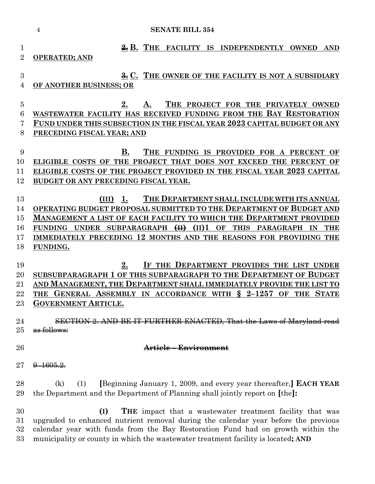|                | <b>SENATE BILL 354</b><br>$\overline{4}$                                                                                                                               |
|----------------|------------------------------------------------------------------------------------------------------------------------------------------------------------------------|
| 1              | $\frac{2}{25}$ B. THE FACILITY<br>IS<br><b>INDEPENDENTLY</b><br><b>OWNED</b><br><b>AND</b>                                                                             |
| $\overline{2}$ | <b>OPERATED; AND</b>                                                                                                                                                   |
| 3              |                                                                                                                                                                        |
| 4              | <del>3.</del> C. THE OWNER OF THE FACILITY IS NOT A SUBSIDIARY<br>OF ANOTHER BUSINESS; OR                                                                              |
|                |                                                                                                                                                                        |
| $\overline{5}$ | 2.<br>THE PROJECT FOR THE PRIVATELY OWNED<br>А.                                                                                                                        |
| 6              | WASTEWATER FACILITY HAS RECEIVED FUNDING FROM THE BAY RESTORATION                                                                                                      |
| 7              | FUND UNDER THIS SUBSECTION IN THE FISCAL YEAR 2023 CAPITAL BUDGET OR ANY                                                                                               |
| 8              | PRECEDING FISCAL YEAR; AND                                                                                                                                             |
| 9              | В.<br>THE FUNDING IS PROVIDED FOR A PERCENT<br>OF                                                                                                                      |
| 10             | ELIGIBLE COSTS OF THE PROJECT THAT DOES NOT EXCEED THE PERCENT OF                                                                                                      |
| 11             | ELIGIBLE COSTS OF THE PROJECT PROVIDED IN THE FISCAL YEAR 2023 CAPITAL                                                                                                 |
| 12             | BUDGET OR ANY PRECEDING FISCAL YEAR.                                                                                                                                   |
| 13             | THE DEPARTMENT SHALL INCLUDE WITH ITS ANNUAL<br>(III)<br>1.                                                                                                            |
| 14             | OPERATING BUDGET PROPOSAL SUBMITTED TO THE DEPARTMENT OF BUDGET AND                                                                                                    |
| 15             | MANAGEMENT A LIST OF EACH FACILITY TO WHICH THE DEPARTMENT PROVIDED                                                                                                    |
| 16             | SUBPARAGRAPH<br>H<br>(II)1<br><b>THIS</b><br><b>FUNDING</b><br><b>UNDER</b><br>OF<br>PARAGRAPH<br>IN<br><b>THE</b>                                                     |
| 17             | IMMEDIATELY PRECEDING 12 MONTHS AND THE REASONS FOR PROVIDING THE                                                                                                      |
| 18             | FUNDING.                                                                                                                                                               |
| 19             | IF THE DEPARTMENT PROVIDES THE LIST UNDER<br>2.                                                                                                                        |
| 20             | SUBSUBPARAGRAPH 1 OF THIS SUBPARAGRAPH TO THE DEPARTMENT OF BUDGET                                                                                                     |
| 21             | AND MANAGEMENT, THE DEPARTMENT SHALL IMMEDIATELY PROVIDE THE LIST TO                                                                                                   |
| 22             | $\delta$<br>$2 - 1257$<br><b>STATE</b><br>GENERAL ASSEMBLY IN ACCORDANCE WITH<br>OF<br><b>THE</b><br><b>THE</b>                                                        |
| 23             | <b>GOVERNMENT ARTICLE.</b>                                                                                                                                             |
| 24             | FURTHER ENACTED, That the Laws of Maryland read                                                                                                                        |
| 25             | <del>as follows:</del>                                                                                                                                                 |
|                |                                                                                                                                                                        |
| 26             | <del>-Environment</del><br><del>Article -</del>                                                                                                                        |
| $27\,$         | 1605 Y                                                                                                                                                                 |
| 28             |                                                                                                                                                                        |
| 29             | (k)<br>[Beginning January 1, 2009, and every year thereafter,] <b>EACH YEAR</b><br>(1)<br>the Department and the Department of Planning shall jointly report on [the]: |
| 30             | (I)<br><b>THE</b> impact that a wastewater treatment facility that was                                                                                                 |
| 31             | upgraded to enhanced nutrient removal during the calendar year before the previous                                                                                     |
| 32             | calendar year with funds from the Bay Restoration Fund had on growth within the                                                                                        |

municipality or county in which the wastewater treatment facility is located**; AND**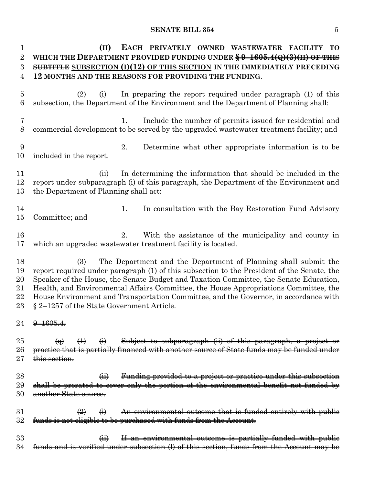### **SENATE BILL 354** 5

| $\mathbf{1}$   | (II)<br>EACH PRIVATELY OWNED WASTEWATER FACILITY TO                                                                                                                                   |
|----------------|---------------------------------------------------------------------------------------------------------------------------------------------------------------------------------------|
| $\overline{2}$ | WHICH THE DEPARTMENT PROVIDED FUNDING UNDER $\frac{69-1605.4(Q)(3)(\text{H})}{9F}$ This                                                                                               |
| 3              | SUBTITLE SUBSECTION $(I)(12)$ OF THIS SECTION IN THE IMMEDIATELY PRECEDING                                                                                                            |
| 4              | 12 MONTHS AND THE REASONS FOR PROVIDING THE FUNDING.                                                                                                                                  |
|                |                                                                                                                                                                                       |
| $\overline{5}$ | In preparing the report required under paragraph (1) of this<br>(2)<br>(i)                                                                                                            |
| 6              | subsection, the Department of the Environment and the Department of Planning shall:                                                                                                   |
|                |                                                                                                                                                                                       |
| $\overline{7}$ | 1.                                                                                                                                                                                    |
|                | Include the number of permits issued for residential and                                                                                                                              |
| 8              | commercial development to be served by the upgraded wastewater treatment facility; and                                                                                                |
|                |                                                                                                                                                                                       |
| 9              | Determine what other appropriate information is to be<br>2.                                                                                                                           |
| 10             | included in the report.                                                                                                                                                               |
|                |                                                                                                                                                                                       |
| 11             | In determining the information that should be included in the<br>(ii)                                                                                                                 |
| 12             | report under subparagraph (i) of this paragraph, the Department of the Environment and                                                                                                |
| 13             | the Department of Planning shall act:                                                                                                                                                 |
|                |                                                                                                                                                                                       |
| 14             | 1.<br>In consultation with the Bay Restoration Fund Advisory                                                                                                                          |
| 15             | Committee; and                                                                                                                                                                        |
|                |                                                                                                                                                                                       |
| 16             | 2.<br>With the assistance of the municipality and county in                                                                                                                           |
| 17             | which an upgraded wastewater treatment facility is located.                                                                                                                           |
|                |                                                                                                                                                                                       |
|                |                                                                                                                                                                                       |
| 18             | The Department and the Department of Planning shall submit the<br>(3)                                                                                                                 |
| 19             |                                                                                                                                                                                       |
|                | report required under paragraph (1) of this subsection to the President of the Senate, the                                                                                            |
| 20             | Speaker of the House, the Senate Budget and Taxation Committee, the Senate Education,                                                                                                 |
| 21             | Health, and Environmental Affairs Committee, the House Appropriations Committee, the                                                                                                  |
| 22             | House Environment and Transportation Committee, and the Governor, in accordance with                                                                                                  |
| 23             | § 2-1257 of the State Government Article.                                                                                                                                             |
|                |                                                                                                                                                                                       |
| 24             | $9 - 1605.4$                                                                                                                                                                          |
|                |                                                                                                                                                                                       |
| $25\,$         | Subject to subparagraph (ii) of this paragraph, a project or<br>$\leftrightarrow$<br>$\left( \frac{1}{1} \right)$<br>$\Theta$                                                         |
| $26\,$         | practice that is partially financed with another source of State funds may be funded under                                                                                            |
| $27\,$         | this section.                                                                                                                                                                         |
|                |                                                                                                                                                                                       |
| 28             | Funding provided to a project or practice under this subsection<br>$\overline{a}$                                                                                                     |
| 29             | shall be prorated to cover only the portion of the environmental benefit not funded by                                                                                                |
| 30             | another State source.                                                                                                                                                                 |
|                |                                                                                                                                                                                       |
| $31\,$         | An environmental outcome that is funded entirely with public<br>$\left(\frac{2}{2}\right)$<br>$\Theta$                                                                                |
| $32\,$         | funds is not eligible to be purchased with funds from the Account.                                                                                                                    |
|                |                                                                                                                                                                                       |
| 33<br>34       | If an environmental outcome is partially funded with public<br>$\overline{(\mathbf{H})}$<br>funds and is verified under subsection (I) of this section, funds from the Account may be |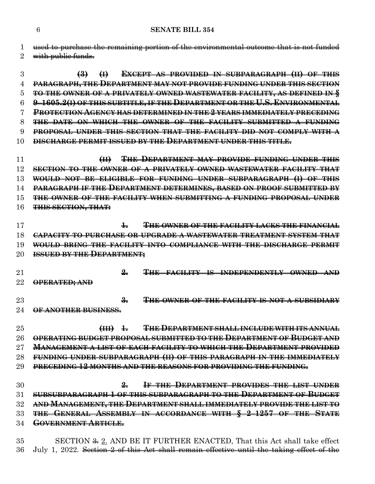used to purchase the remaining portion of the environmental outcome that is not funded

**(3) (I) EXCEPT AS PROVIDED IN SUBPARAGRAPH (II) OF THIS**

2 with public funds.

| $\overline{4}$  | PARAGRAPH, THE DEPARTMENT MAY NOT PROVIDE FUNDING UNDER THIS SECTION                            |
|-----------------|-------------------------------------------------------------------------------------------------|
| 5               | TO THE OWNER OF A PRIVATELY OWNED WASTEWATER FACILITY, AS DEFINED IN §                          |
| 6               | 9-1605.2(I) OF THIS SUBTITLE, IF THE DEPARTMENT OR THE U.S. ENVIRONMENTAL                       |
| 7               | <b>PROTECTION AGENCY HAS DETERMINED IN THE 2 YEARS IMMEDIATELY PRECEDING</b>                    |
| 8               | THE DATE ON WHICH THE OWNER OF THE FACILITY SUBMITTED A FUNDING                                 |
| 9               | PROPOSAL UNDER THIS SECTION THAT THE FACILITY DID NOT COMPLY WITH A                             |
| 10              | <b>DISCHARGE PERMIT ISSUED BY THE DEPARTMENT UNDER THIS TITLE.</b>                              |
| 11              | THE DEPARTMENT MAY PROVIDE FUNDING UNDER THIS<br>H                                              |
| 12              | SECTION TO THE OWNER OF A PRIVATELY OWNED WASTEWATER FACILITY THAT                              |
| 13              | WOULD NOT BE ELIGIBLE FOR FUNDING UNDER SUBPARAGRAPH (I) OF THIS                                |
| 14              | PARAGRAPH IF THE DEPARTMENT DETERMINES, BASED ON PROOF SUBMITTED BY                             |
| 15              | THE OWNER OF THE FACILITY WHEN SUBMITTING A FUNDING PROPOSAL UNDER                              |
| 16              | <b>THIS SECTION, THAT:</b>                                                                      |
| 17              | <b>THE OWNER OF THE FACILITY LACKS THE FINANCIAL</b><br>$\ddagger$                              |
| 18              | <b>CAPACITY TO PURCHASE OR UPGRADE A WASTEWATER TREATMENT SYSTEM THAT</b>                       |
| 19              | WOULD BRING THE FACILITY INTO COMPLIANCE WITH THE DISCHARGE PERMIT                              |
| 20              | <b>ISSUED BY THE DEPARTMENT;</b>                                                                |
| $\overline{21}$ | $\frac{9}{2}$<br>THE FACILITY IS INDEPENDENTLY OWNED AND                                        |
| 22              | OPERATED; AND                                                                                   |
| 23              | THE OWNER OF THE FACILITY IS NOT A SUBSIDIARY<br>$\frac{2}{\sigma}$                             |
| 24              | OF ANOTHER BUSINESS.                                                                            |
|                 |                                                                                                 |
| $25\,$          | <b>THE DEPARTMENT SHALL INCLUDE WITH ITS ANNUAL</b><br>$\left(\frac{1}{2} + \frac{1}{2}\right)$ |
| 26<br>$27\,$    | OPERATING BUDGET PROPOSAL SUBMITTED TO THE DEPARTMENT OF BUDGET AND                             |
|                 | <b>MANAGEMENT A LIST OF EACH FACILITY TO WHICH THE DEPARTMENT PROVIDED</b>                      |
| 28              | FUNDING UNDER SUBPARAGRAPH (II) OF THIS PARAGRAPH IN THE IMMEDIATELY                            |
| 29              | PRECEDING 12 MONTHS AND THE REASONS FOR PROVIDING THE FUNDING.                                  |
| 30              | IF THE DEPARTMENT PROVIDES THE LIST UNDER<br>2                                                  |
| 31              | SUBSUBPARAGRAPH 1 OF THIS SUBPARAGRAPH TO THE DEPARTMENT OF BUDGET                              |
| 32              | AND MANAGEMENT, THE DEPARTMENT SHALL IMMEDIATELY PROVIDE THE LIST TO                            |
| 33              | THE GENERAL ASSEMBLY IN ACCORDANCE WITH § 2-1257 OF THE STATE                                   |
| 34              | <b>GOVERNMENT ARTICLE.</b>                                                                      |
|                 |                                                                                                 |

35 SECTION <del>3.</del> 2. AND BE IT FURTHER ENACTED, That this Act shall take effect July 1, 2022. Section 2 of this Act shall remain effective until the taking effect of the